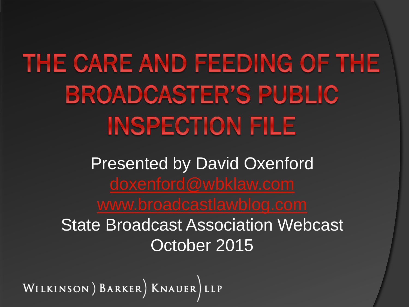THE CARE AND FEEDING OF THE **BROADCASTER'S PUBLIC INSPECTION FILE** 

> Presented by David Oxenford State Broadcast Association Webcast October 2015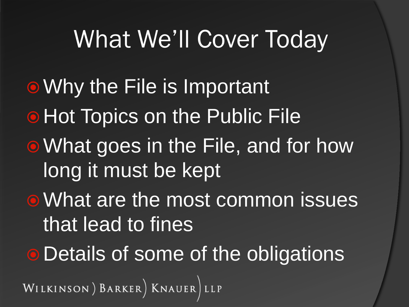#### What We'll Cover Today

• Why the File is Important **• Hot Topics on the Public File** • What goes in the File, and for how long it must be kept What are the most common issues that lead to fines **• Details of some of the obligations** WILKINSON) BARKER) KNAUER LLP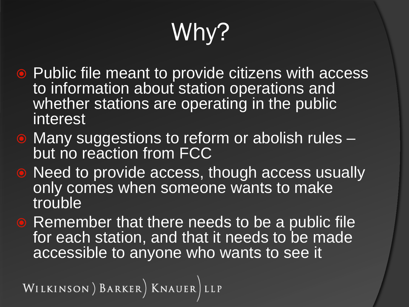# Why?

- Public file meant to provide citizens with access to information about station operations and whether stations are operating in the public interest
- Many suggestions to reform or abolish rules but no reaction from FCC
- Need to provide access, though access usually only comes when someone wants to make **trouble**
- **Remember that there needs to be a public file** for each station, and that it needs to be made accessible to anyone who wants to see it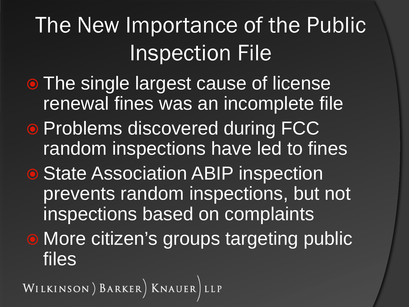The New Importance of the Public Inspection File

- The single largest cause of license renewal fines was an incomplete file
- **Problems discovered during FCC** random inspections have led to fines
- State Association ABIP inspection prevents random inspections, but not inspections based on complaints

**• More citizen's groups targeting public** files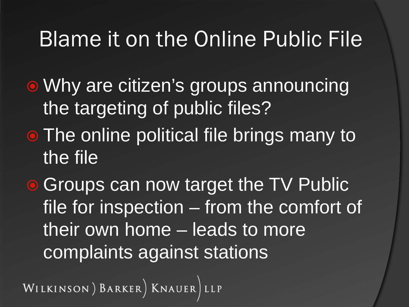#### Blame it on the Online Public File

- Why are citizen's groups announcing the targeting of public files?
- The online political file brings many to the file
- **Groups can now target the TV Public** file for inspection – from the comfort of their own home – leads to more complaints against stations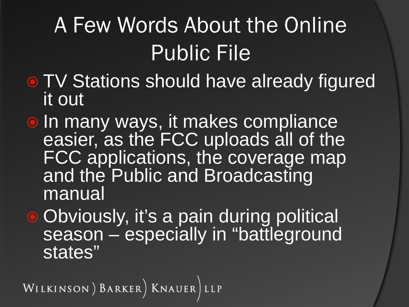## A Few Words About the Online Public File

- **TV Stations should have already figured** it out
- $\bullet$  In many ways, it makes compliance easier, as the FCC uploads all of the FCC applications, the coverage map and the Public and Broadcasting manual
- Obviously, it's a pain during political season – especially in "battleground states"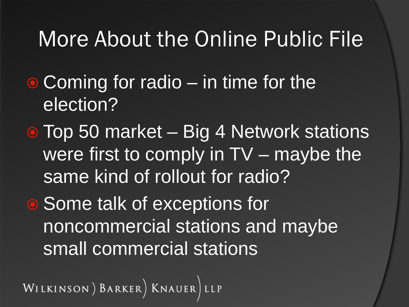#### More About the Online Public File

- $\bullet$  Coming for radio in time for the election?
- Top 50 market Big 4 Network stations were first to comply in TV – maybe the same kind of rollout for radio?
- Some talk of exceptions for noncommercial stations and maybe small commercial stations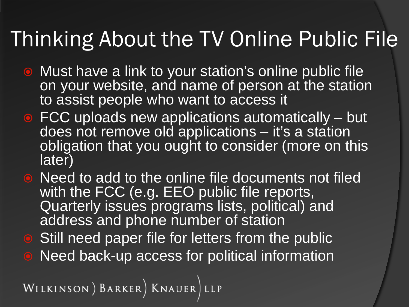#### Thinking About the TV Online Public File

- Must have a link to your station's online public file on your website, and name of person at the station to assist people who want to access it
- **FCC uploads new applications automatically but** does not remove old applications – it's a station obligation that you ought to consider (more on this later)
- Need to add to the online file documents not filed with the FCC (e.g. EEO public file reports, Quarterly issues programs lists, political) and address and phone number of station
- **Still need paper file for letters from the public**
- Need back-up access for political information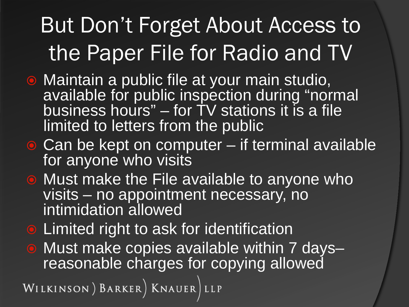#### But Don't Forget About Access to the Paper File for Radio and TV

- Maintain a public file at your main studio, available for public inspection during "normal business hours" – for TV stations it is a file limited to letters from the public
- $\bullet$  Can be kept on computer if terminal available for anyone who visits
- **Must make the File available to anyone who** visits – no appointment necessary, no intimidation allowed
- **Limited right to ask for identification**
- Must make copies available within 7 days– reasonable charges for copying allowed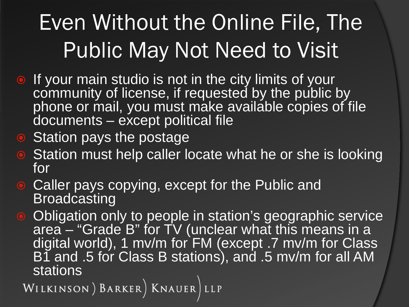#### Even Without the Online File, The Public May Not Need to Visit

- **If your main studio is not in the city limits of your** community of license, if requested by the public by phone or mail, you must make available copies of file documents – except political file
- Station pays the postage
- **Station must help caller locate what he or she is looking** for
- Caller pays copying, except for the Public and **Broadcasting**
- Obligation only to people in station's geographic service area – "Grade B" for TV (unclear what this means in a digital world), 1 mv/m for FM (except .7 mv/m for Class B1 and .5 for Class B stations), and .5 mv/m for all AM

Stations<br>WILKINSON) BARKER) KNAUER LLP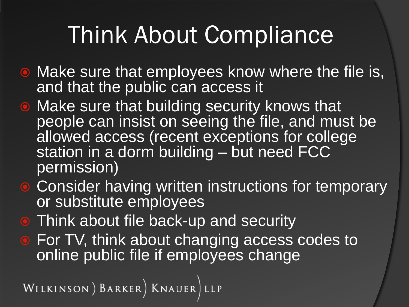## Think About Compliance

- **Make sure that employees know where the file is,** and that the public can access it
- Make sure that building security knows that people can insist on seeing the file, and must be allowed access (recent exceptions for college station in a dorm building – but need FCC permission)
- **Consider having written instructions for temporary** or substitute employees
- **Think about file back-up and security**
- **For TV, think about changing access codes to** online public file if employees change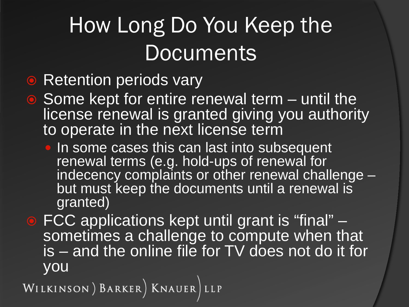#### How Long Do You Keep the **Documents**

#### • Retention periods vary

- Some kept for entire renewal term until the license renewal is granted giving you authority to operate in the next license term
	- In some cases this can last into subsequent renewal terms (e.g. hold-ups of renewal for indecency complaints or other renewal challenge –<br>but must keep the documents until a renewal is granted)
- FCC applications kept until grant is "final" –<br>sometimes a challenge to compute when that is – and the online file for TV does not do it for you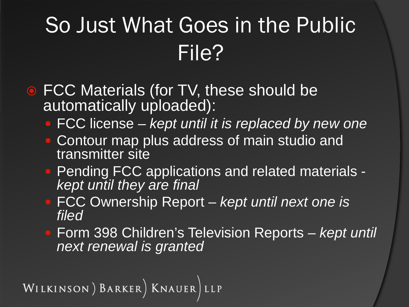#### So Just What Goes in the Public File?

- **FCC Materials (for TV, these should be** automatically uploaded):
	- FCC license *kept until it is replaced by new one*
	- Contour map plus address of main studio and transmitter site
	- Pending FCC applications and related materials *kept until they are final*
	- FCC Ownership Report *kept until next one is filed*
	- Form 398 Children's Television Reports *kept until next renewal is granted*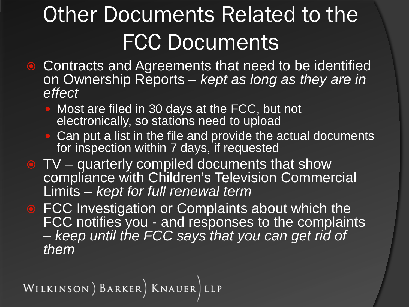## **Other Documents Related to the** FCC Documents

- **Contracts and Agreements that need to be identified** on Ownership Reports – *kept as long as they are in effect*
	- Most are filed in 30 days at the FCC, but not electronically, so stations need to upload
	- Can put a list in the file and provide the actual documents for inspection within 7 days, if requested
- TV quarterly compiled documents that show compliance with Children's Television Commercial Limits – *kept for full renewal term*
- **FCC Investigation or Complaints about which the** FCC notifies you - and responses to the complaints – *keep until the FCC says that you can get rid of them*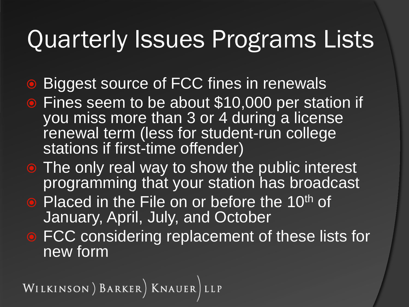#### Quarterly Issues Programs Lists

- **Biggest source of FCC fines in renewals**
- **Fines seem to be about \$10,000 per station if** you miss more than 3 or 4 during a license renewal term (less for student-run college stations if first-time offender)
- The only real way to show the public interest programming that your station has broadcast
- Placed in the File on or before the 10<sup>th</sup> of January, April, July, and October
- FCC considering replacement of these lists for new form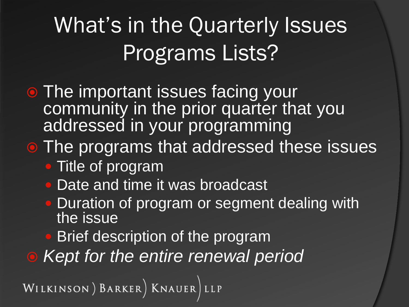#### What's in the Quarterly Issues Programs Lists?

**• The important issues facing your** community in the prior quarter that you addressed in your programming

#### **• The programs that addressed these issues**

- Title of program
- Date and time it was broadcast
- Duration of program or segment dealing with the issue
- Brief description of the program
- *Kept for the entire renewal period*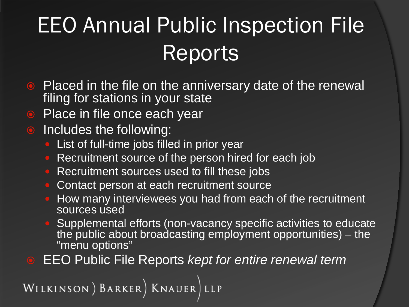## EEO Annual Public Inspection File Reports

- Placed in the file on the anniversary date of the renewal filing for stations in your state
- Place in file once each year
- Includes the following:
	- List of full-time jobs filled in prior year
	- Recruitment source of the person hired for each job
	- Recruitment sources used to fill these jobs
	- Contact person at each recruitment source
	- How many interviewees you had from each of the recruitment sources used
	- Supplemental efforts (non-vacancy specific activities to educate the public about broadcasting employment opportunities) – the "menu options"
- EEO Public File Reports *kept for entire renewal term*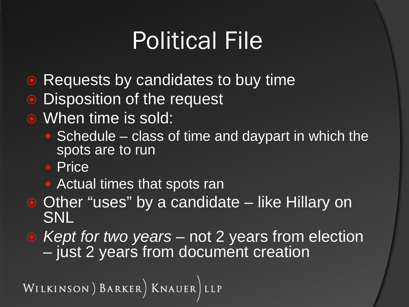## Political File

- **Requests by candidates to buy time**
- Disposition of the request
- **When time is sold:** 
	- Schedule class of time and daypart in which the spots are to run
	- Price
	- Actual times that spots ran
- **Other "uses" by a candidate like Hillary on** SNL
- *Kept for two years –* not 2 years from election just 2 years from document creation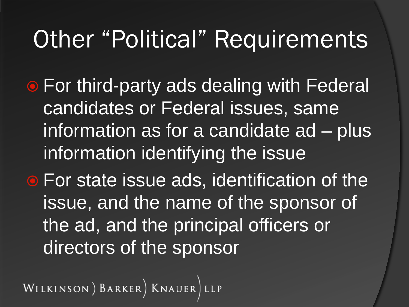#### **Other "Political" Requirements**

- **For third-party ads dealing with Federal** candidates or Federal issues, same information as for a candidate ad – plus information identifying the issue
- **For state issue ads, identification of the** issue, and the name of the sponsor of the ad, and the principal officers or directors of the sponsor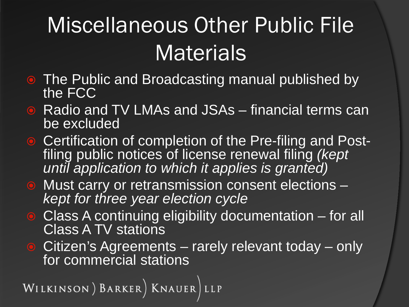#### Miscellaneous Other Public File **Materials**

- The Public and Broadcasting manual published by the FCC
- Radio and TV LMAs and JSAs financial terms can be excluded
- Certification of completion of the Pre-filing and Post- filing public notices of license renewal filing *(kept until application to which it applies is granted)*
- Must carry or retransmission consent elections *kept for three year election cycle*
- Class A continuing eligibility documentation for all Class A TV stations
- Citizen's Agreements rarely relevant today only for commercial stations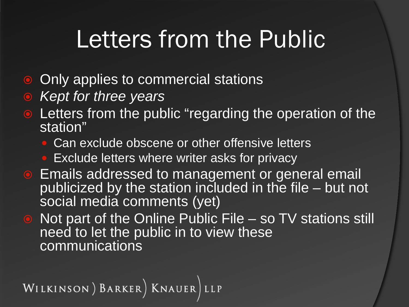## Letters from the Public

- Only applies to commercial stations
- *Kept for three years*
- Letters from the public "regarding the operation of the station"
	- Can exclude obscene or other offensive letters
	- **Exclude letters where writer asks for privacy**
- **Emails addressed to management or general email** publicized by the station included in the file – but not social media comments (yet)
- Not part of the Online Public File so TV stations still need to let the public in to view these communications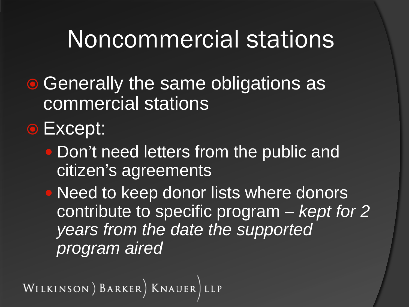#### Noncommercial stations

- Generally the same obligations as commercial stations
- **•** Except:
	- Don't need letters from the public and citizen's agreements

• Need to keep donor lists where donors contribute to specific program – *kept for 2 years from the date the supported program aired*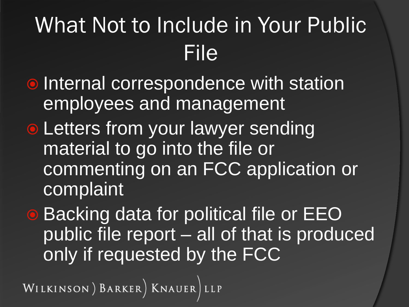#### What Not to Include in Your Public File

- **Internal correspondence with station** employees and management
- **Letters from your lawyer sending** material to go into the file or commenting on an FCC application or complaint
- **Backing data for political file or EEO** public file report – all of that is produced only if requested by the FCC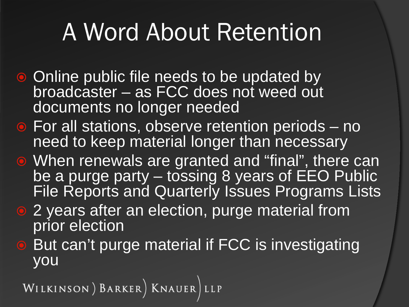## A Word About Retention

- Online public file needs to be updated by broadcaster – as FCC does not weed out documents no longer needed
- **•** For all stations, observe retention periods no need to keep material longer than necessary
- When renewals are granted and "final", there can be a purge party – tossing 8 years of EEO Public File Reports and Quarterly Issues Programs Lists
- 2 years after an election, purge material from prior election
- But can't purge material if FCC is investigating you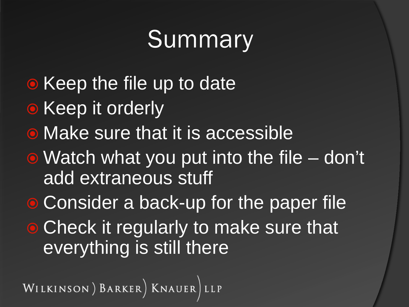## **Summary**

- Keep the file up to date
- Keep it orderly
- Make sure that it is accessible
- Watch what you put into the file don't add extraneous stuff
- **Consider a back-up for the paper file**
- Check it regularly to make sure that everything is still there